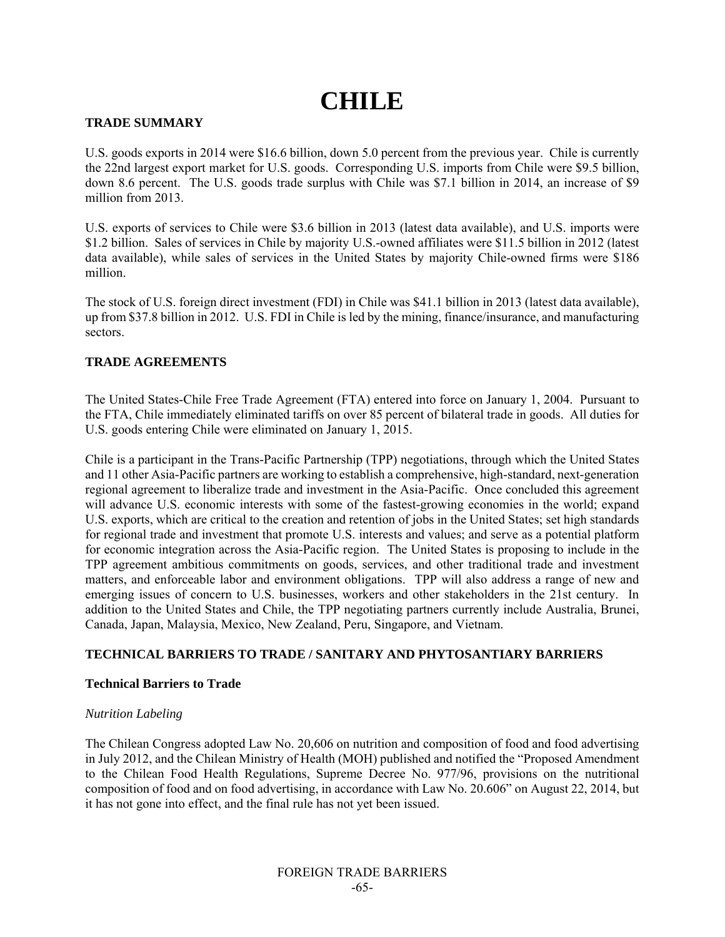# **CHILE**

## **TRADE SUMMARY**

U.S. goods exports in 2014 were \$16.6 billion, down 5.0 percent from the previous year. Chile is currently the 22nd largest export market for U.S. goods. Corresponding U.S. imports from Chile were \$9.5 billion, down 8.6 percent. The U.S. goods trade surplus with Chile was \$7.1 billion in 2014, an increase of \$9 million from 2013.

U.S. exports of services to Chile were \$3.6 billion in 2013 (latest data available), and U.S. imports were \$1.2 billion. Sales of services in Chile by majority U.S.-owned affiliates were \$11.5 billion in 2012 (latest data available), while sales of services in the United States by majority Chile-owned firms were \$186 million.

The stock of U.S. foreign direct investment (FDI) in Chile was \$41.1 billion in 2013 (latest data available), up from \$37.8 billion in 2012. U.S. FDI in Chile is led by the mining, finance/insurance, and manufacturing sectors.

# **TRADE AGREEMENTS**

The United States-Chile Free Trade Agreement (FTA) entered into force on January 1, 2004. Pursuant to the FTA, Chile immediately eliminated tariffs on over 85 percent of bilateral trade in goods. All duties for U.S. goods entering Chile were eliminated on January 1, 2015.

Chile is a participant in the Trans-Pacific Partnership (TPP) negotiations, through which the United States and 11 other Asia-Pacific partners are working to establish a comprehensive, high-standard, next-generation regional agreement to liberalize trade and investment in the Asia-Pacific. Once concluded this agreement will advance U.S. economic interests with some of the fastest-growing economies in the world; expand U.S. exports, which are critical to the creation and retention of jobs in the United States; set high standards for regional trade and investment that promote U.S. interests and values; and serve as a potential platform for economic integration across the Asia-Pacific region. The United States is proposing to include in the TPP agreement ambitious commitments on goods, services, and other traditional trade and investment matters, and enforceable labor and environment obligations. TPP will also address a range of new and emerging issues of concern to U.S. businesses, workers and other stakeholders in the 21st century. In addition to the United States and Chile, the TPP negotiating partners currently include Australia, Brunei, Canada, Japan, Malaysia, Mexico, New Zealand, Peru, Singapore, and Vietnam.

# **TECHNICAL BARRIERS TO TRADE / SANITARY AND PHYTOSANTIARY BARRIERS**

#### **Technical Barriers to Trade**

#### *Nutrition Labeling*

The Chilean Congress adopted Law No. 20,606 on nutrition and composition of food and food advertising in July 2012, and the Chilean Ministry of Health (MOH) published and notified the "Proposed Amendment to the Chilean Food Health Regulations, Supreme Decree No. 977/96, provisions on the nutritional composition of food and on food advertising, in accordance with Law No. 20.606" on August 22, 2014, but it has not gone into effect, and the final rule has not yet been issued.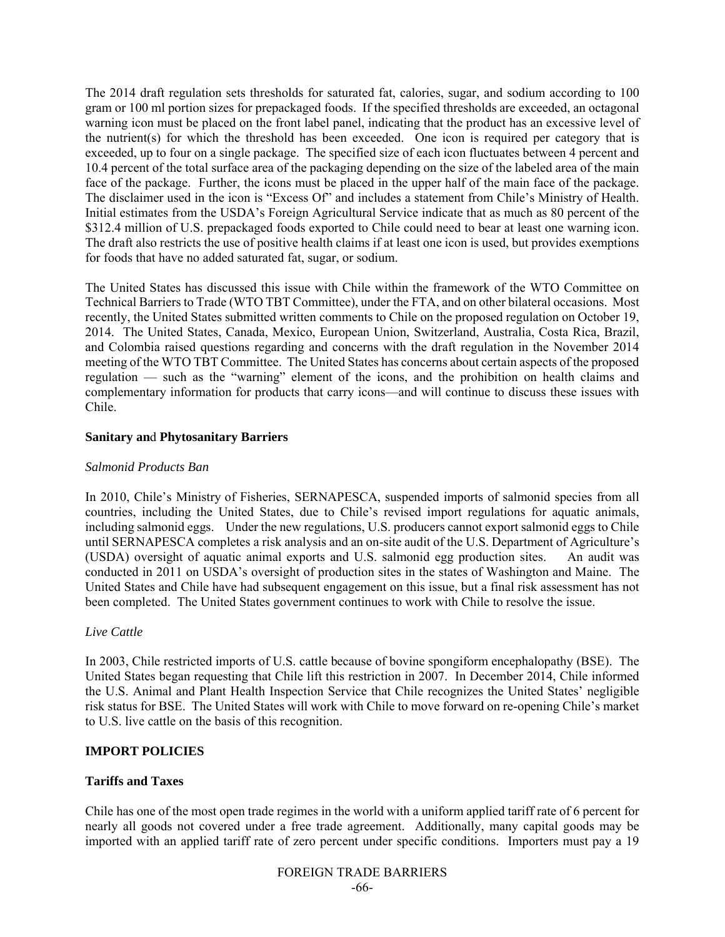The 2014 draft regulation sets thresholds for saturated fat, calories, sugar, and sodium according to 100 gram or 100 ml portion sizes for prepackaged foods. If the specified thresholds are exceeded, an octagonal warning icon must be placed on the front label panel, indicating that the product has an excessive level of the nutrient(s) for which the threshold has been exceeded. One icon is required per category that is exceeded, up to four on a single package. The specified size of each icon fluctuates between 4 percent and 10.4 percent of the total surface area of the packaging depending on the size of the labeled area of the main face of the package. Further, the icons must be placed in the upper half of the main face of the package. The disclaimer used in the icon is "Excess Of" and includes a statement from Chile's Ministry of Health. Initial estimates from the USDA's Foreign Agricultural Service indicate that as much as 80 percent of the \$312.4 million of U.S. prepackaged foods exported to Chile could need to bear at least one warning icon. The draft also restricts the use of positive health claims if at least one icon is used, but provides exemptions for foods that have no added saturated fat, sugar, or sodium.

The United States has discussed this issue with Chile within the framework of the WTO Committee on Technical Barriers to Trade (WTO TBT Committee), under the FTA, and on other bilateral occasions. Most recently, the United States submitted written comments to Chile on the proposed regulation on October 19, 2014. The United States, Canada, Mexico, European Union, Switzerland, Australia, Costa Rica, Brazil, and Colombia raised questions regarding and concerns with the draft regulation in the November 2014 meeting of the WTO TBT Committee. The United States has concerns about certain aspects of the proposed regulation — such as the "warning" element of the icons, and the prohibition on health claims and complementary information for products that carry icons—and will continue to discuss these issues with Chile.

#### **Sanitary an**d **Phytosanitary Barriers**

## *Salmonid Products Ban*

In 2010, Chile's Ministry of Fisheries, SERNAPESCA, suspended imports of salmonid species from all countries, including the United States, due to Chile's revised import regulations for aquatic animals, including salmonid eggs. Under the new regulations, U.S. producers cannot export salmonid eggs to Chile until SERNAPESCA completes a risk analysis and an on-site audit of the U.S. Department of Agriculture's (USDA) oversight of aquatic animal exports and U.S. salmonid egg production sites. An audit was conducted in 2011 on USDA's oversight of production sites in the states of Washington and Maine. The United States and Chile have had subsequent engagement on this issue, but a final risk assessment has not been completed. The United States government continues to work with Chile to resolve the issue.

# *Live Cattle*

In 2003, Chile restricted imports of U.S. cattle because of bovine spongiform encephalopathy (BSE). The United States began requesting that Chile lift this restriction in 2007. In December 2014, Chile informed the U.S. Animal and Plant Health Inspection Service that Chile recognizes the United States' negligible risk status for BSE. The United States will work with Chile to move forward on re-opening Chile's market to U.S. live cattle on the basis of this recognition.

# **IMPORT POLICIES**

#### **Tariffs and Taxes**

Chile has one of the most open trade regimes in the world with a uniform applied tariff rate of 6 percent for nearly all goods not covered under a free trade agreement. Additionally, many capital goods may be imported with an applied tariff rate of zero percent under specific conditions. Importers must pay a 19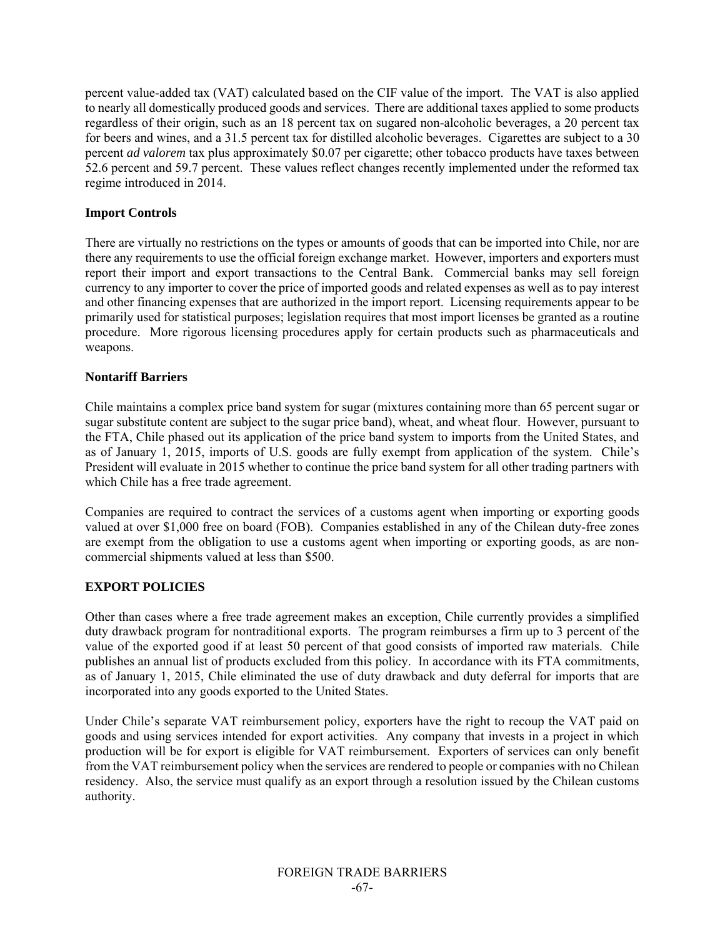percent value-added tax (VAT) calculated based on the CIF value of the import. The VAT is also applied to nearly all domestically produced goods and services. There are additional taxes applied to some products regardless of their origin, such as an 18 percent tax on sugared non-alcoholic beverages, a 20 percent tax for beers and wines, and a 31.5 percent tax for distilled alcoholic beverages. Cigarettes are subject to a 30 percent *ad valorem* tax plus approximately \$0.07 per cigarette; other tobacco products have taxes between 52.6 percent and 59.7 percent. These values reflect changes recently implemented under the reformed tax regime introduced in 2014.

## **Import Controls**

There are virtually no restrictions on the types or amounts of goods that can be imported into Chile, nor are there any requirements to use the official foreign exchange market. However, importers and exporters must report their import and export transactions to the Central Bank. Commercial banks may sell foreign currency to any importer to cover the price of imported goods and related expenses as well as to pay interest and other financing expenses that are authorized in the import report. Licensing requirements appear to be primarily used for statistical purposes; legislation requires that most import licenses be granted as a routine procedure. More rigorous licensing procedures apply for certain products such as pharmaceuticals and weapons.

## **Nontariff Barriers**

Chile maintains a complex price band system for sugar (mixtures containing more than 65 percent sugar or sugar substitute content are subject to the sugar price band), wheat, and wheat flour. However, pursuant to the FTA, Chile phased out its application of the price band system to imports from the United States, and as of January 1, 2015, imports of U.S. goods are fully exempt from application of the system. Chile's President will evaluate in 2015 whether to continue the price band system for all other trading partners with which Chile has a free trade agreement.

Companies are required to contract the services of a customs agent when importing or exporting goods valued at over \$1,000 free on board (FOB). Companies established in any of the Chilean duty-free zones are exempt from the obligation to use a customs agent when importing or exporting goods, as are noncommercial shipments valued at less than \$500.

# **EXPORT POLICIES**

Other than cases where a free trade agreement makes an exception, Chile currently provides a simplified duty drawback program for nontraditional exports. The program reimburses a firm up to 3 percent of the value of the exported good if at least 50 percent of that good consists of imported raw materials. Chile publishes an annual list of products excluded from this policy. In accordance with its FTA commitments, as of January 1, 2015, Chile eliminated the use of duty drawback and duty deferral for imports that are incorporated into any goods exported to the United States.

Under Chile's separate VAT reimbursement policy, exporters have the right to recoup the VAT paid on goods and using services intended for export activities. Any company that invests in a project in which production will be for export is eligible for VAT reimbursement. Exporters of services can only benefit from the VAT reimbursement policy when the services are rendered to people or companies with no Chilean residency. Also, the service must qualify as an export through a resolution issued by the Chilean customs authority.